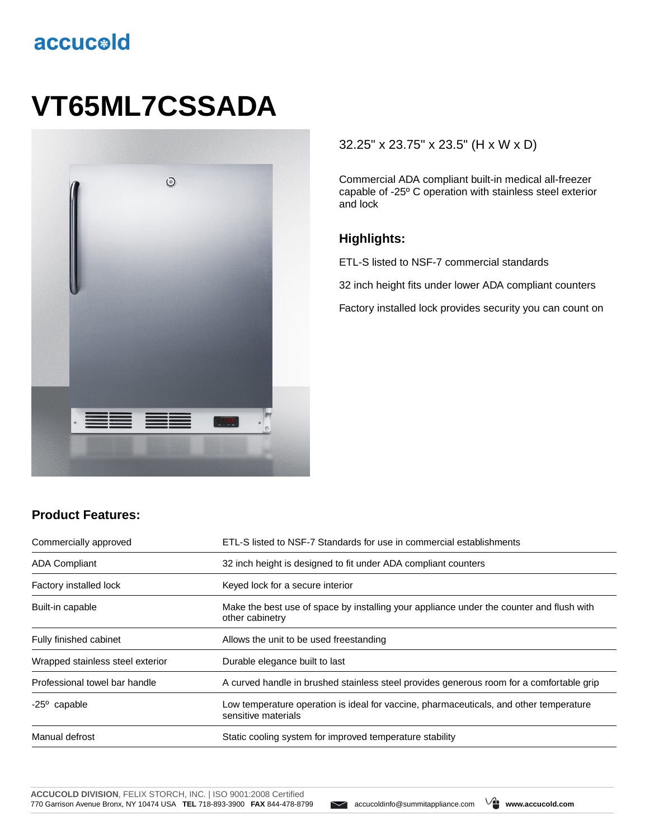## accucold

# **VT65ML7CSSADA**



#### 32.25" x 23.75" x 23.5" (H x W x D)

Commercial ADA compliant built-in medical all-freezer capable of -25º C operation with stainless steel exterior and lock

#### **Highlights:**

ETL-S listed to NSF-7 commercial standards

32 inch height fits under lower ADA compliant counters

Factory installed lock provides security you can count on

### **Product Features:**

| Commercially approved            | ETL-S listed to NSF-7 Standards for use in commercial establishments                                          |
|----------------------------------|---------------------------------------------------------------------------------------------------------------|
| <b>ADA Compliant</b>             | 32 inch height is designed to fit under ADA compliant counters                                                |
| Factory installed lock           | Keyed lock for a secure interior                                                                              |
| Built-in capable                 | Make the best use of space by installing your appliance under the counter and flush with<br>other cabinetry   |
| Fully finished cabinet           | Allows the unit to be used freestanding                                                                       |
| Wrapped stainless steel exterior | Durable elegance built to last                                                                                |
| Professional towel bar handle    | A curved handle in brushed stainless steel provides generous room for a comfortable grip                      |
| $-25^{\circ}$ capable            | Low temperature operation is ideal for vaccine, pharmaceuticals, and other temperature<br>sensitive materials |
| Manual defrost                   | Static cooling system for improved temperature stability                                                      |